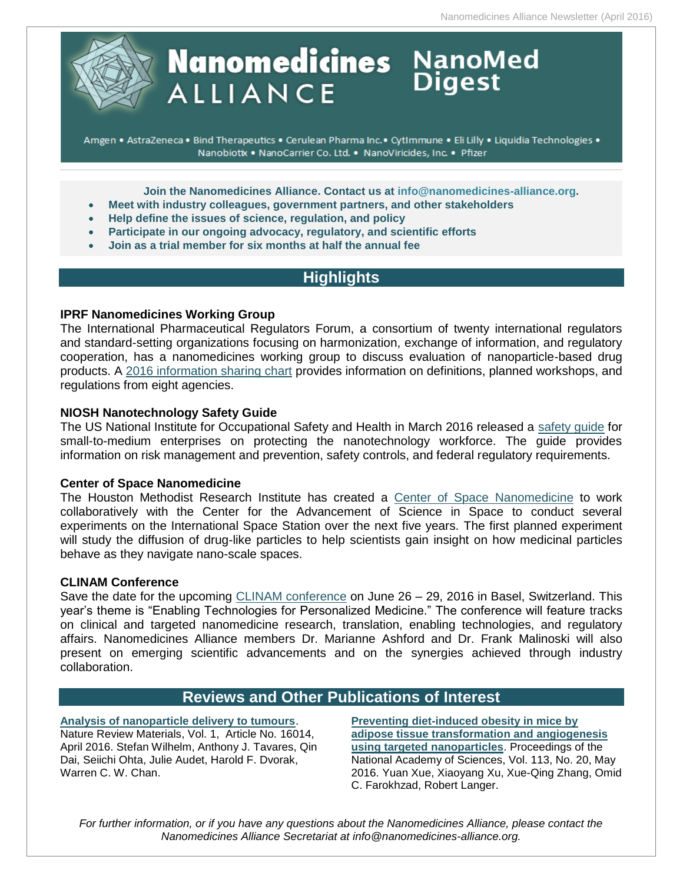

# **Nanomedicines** NanoMed **ALLIANCE**

Amgen . AstraZeneca . Bind Therapeutics . Cerulean Pharma Inc. · CytImmune . Eli Lilly . Liquidia Technologies . Nanobiotix . NanoCarrier Co. Ltd. . NanoViricides, Inc. . Pfizer

**Join the Nanomedicines Alliance. Contact us at [info@nanomedicines-alliance.org.](mailto:info@nanomedicines-alliance.org)**

- **Meet with industry colleagues, government partners, and other stakeholders**
- **Help define the issues of science, regulation, and policy**
- **Participate in our ongoing advocacy, regulatory, and scientific efforts**
- **Join as a trial member for six months at half the annual fee**

# **Highlights**

#### **IPRF Nanomedicines Working Group**

The International Pharmaceutical Regulators Forum, a consortium of twenty international regulators and standard-setting organizations focusing on harmonization, exchange of information, and regulatory cooperation, has a nanomedicines working group to discuss evaluation of nanoparticle-based drug products. A [2016 information sharing chart](https://www.i-p-r-f.org/files/7414/5387/7778/IPRF_Nanomedicines_WG_-_info_mapping_Jan2016.pdf) provides information on definitions, planned workshops, and regulations from eight agencies.

#### **NIOSH Nanotechnology Safety Guide**

The US National Institute for Occupational Safety and Health in March 2016 released a [safety guide](http://www.cdc.gov/niosh/docs/2016-102/pdfs/2016-102.pdf) for small-to-medium enterprises on protecting the nanotechnology workforce. The guide provides information on risk management and prevention, safety controls, and federal regulatory requirements.

#### **Center of Space Nanomedicine**

The Houston Methodist Research Institute has created a [Center of Space Nanomedicine](http://www.nanowerk.com/nanotechnology-news/newsid=43063.php) to work collaboratively with the Center for the Advancement of Science in Space to conduct several experiments on the International Space Station over the next five years. The first planned experiment will study the diffusion of drug-like particles to help scientists gain insight on how medicinal particles behave as they navigate nano-scale spaces.

#### **CLINAM Conference**

Save the date for the upcoming [CLINAM conference](https://www.clinam.org/) on June 26 – 29, 2016 in Basel, Switzerland. This year's theme is "Enabling Technologies for Personalized Medicine." The conference will feature tracks on clinical and targeted nanomedicine research, translation, enabling technologies, and regulatory affairs. Nanomedicines Alliance members Dr. Marianne Ashford and Dr. Frank Malinoski will also present on emerging scientific advancements and on the synergies achieved through industry collaboration.

# **Reviews and Other Publications of Interest**

**[Analysis of nanoparticle delivery to tumours](http://www.nature.com/articles/natrevmats201614)**. Nature Review Materials, Vol. 1, Article No. 16014, April 2016. Stefan Wilhelm, Anthony J. Tavares, Qin Dai, Seiichi Ohta, Julie Audet, Harold F. Dvorak, Warren C. W. Chan.

**[Preventing diet-induced obesity in mice by](http://www.pnas.org/content/113/20/5552)  [adipose tissue transformation and angiogenesis](http://www.pnas.org/content/113/20/5552)  [using targeted nanoparticles](http://www.pnas.org/content/113/20/5552)**. Proceedings of the National Academy of Sciences, Vol. 113, No. 20, May 2016. Yuan Xue, Xiaoyang Xu, Xue-Qing Zhang, Omid C. Farokhzad, Robert Langer.

*For further information, or if you have any questions about the Nanomedicines Alliance, please contact the Nanomedicines Alliance Secretariat at info@nanomedicines-alliance.org.*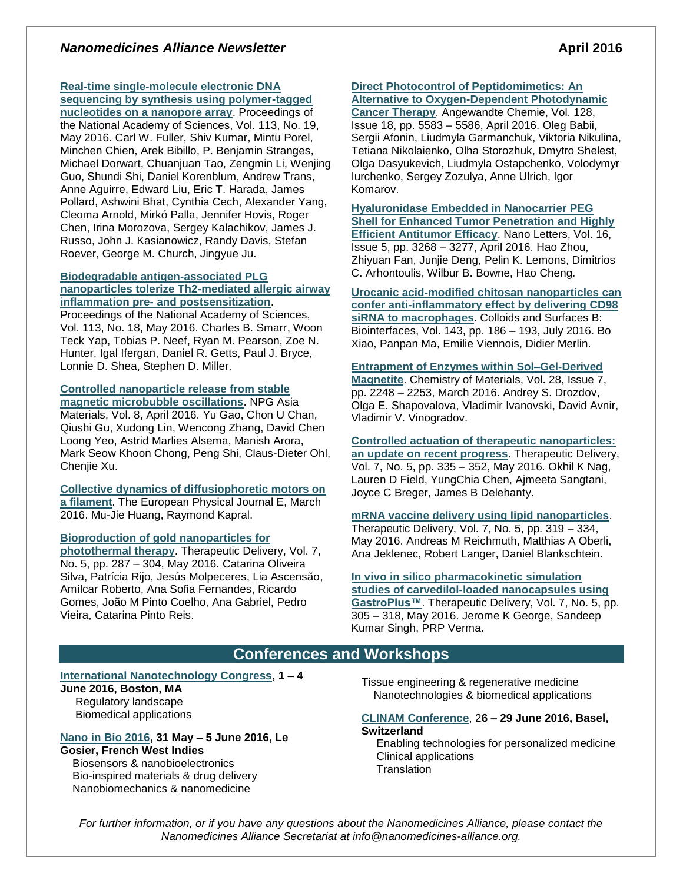## *Nanomedicines Alliance Newsletter* **April 2016**

# **[Real-time single-molecule electronic DNA](http://www.pnas.org/content/113/19/5233)**

**[sequencing by synthesis using polymer-tagged](http://www.pnas.org/content/113/19/5233)  [nucleotides on a nanopore array](http://www.pnas.org/content/113/19/5233)**. Proceedings of the National Academy of Sciences, Vol. 113, No. 19, May 2016. Carl W. Fuller, Shiv Kumar, Mintu Porel, Minchen Chien, Arek Bibillo, P. Benjamin Stranges, Michael Dorwart, Chuanjuan Tao, Zengmin Li, Wenjing Guo, Shundi Shi, Daniel Korenblum, Andrew Trans, Anne Aguirre, Edward Liu, Eric T. Harada, James Pollard, Ashwini Bhat, Cynthia Cech, Alexander Yang, Cleoma Arnold, Mirkó Palla, Jennifer Hovis, Roger Chen, Irina Morozova, Sergey Kalachikov, James J. Russo, John J. Kasianowicz, Randy Davis, Stefan Roever, George M. Church, Jingyue Ju.

#### **[Biodegradable antigen-associated PLG](http://www.pnas.org/content/113/18/5059)  [nanoparticles tolerize Th2-mediated allergic airway](http://www.pnas.org/content/113/18/5059)  inflammation pre- [and postsensitization](http://www.pnas.org/content/113/18/5059)**.

Proceedings of the National Academy of Sciences, Vol. 113, No. 18, May 2016. Charles B. Smarr, Woon Teck Yap, Tobias P. Neef, Ryan M. Pearson, Zoe N. Hunter, Igal Ifergan, Daniel R. Getts, Paul J. Bryce, Lonnie D. Shea, Stephen D. Miller.

#### **[Controlled nanoparticle release from stable](http://www.nature.com/am/journal/v8/n4/full/am201637a.html)**

**[magnetic microbubble oscillations](http://www.nature.com/am/journal/v8/n4/full/am201637a.html)**. NPG Asia Materials, Vol. 8, April 2016. Yu Gao, Chon U Chan, Qiushi Gu, Xudong Lin, Wencong Zhang, David Chen Loong Yeo, Astrid Marlies Alsema, Manish Arora, Mark Seow Khoon Chong, Peng Shi, Claus-Dieter Ohl, Chenjie Xu.

**[Collective dynamics of diffusiophoretic motors on](http://link.springer.com/article/10.1140%2Fepje%2Fi2016-16036-3)  [a filament](http://link.springer.com/article/10.1140%2Fepje%2Fi2016-16036-3)**. The European Physical Journal E, March 2016. Mu-Jie Huang, Raymond Kapral.

#### **[Bioproduction of gold nanoparticles for](http://www.future-science.com/doi/abs/10.4155/tde-2015-0011)**

**[photothermal therapy](http://www.future-science.com/doi/abs/10.4155/tde-2015-0011)**. Therapeutic Delivery, Vol. 7, No. 5, pp. 287 – 304, May 2016. Catarina Oliveira Silva, Patrícia Rijo, Jesús Molpeceres, Lia Ascensão, Amílcar Roberto, Ana Sofia Fernandes, Ricardo Gomes, João M Pinto Coelho, Ana Gabriel, Pedro Vieira, Catarina Pinto Reis.

# **[Direct Photocontrol of Peptidomimetics: An](http://onlinelibrary.wiley.com/doi/10.1002/ange.201600506/abstract;jsessionid=07846840B75DD81B7A14E916AA8A56F8.f01t03)**

**[Alternative to Oxygen-Dependent Photodynamic](http://onlinelibrary.wiley.com/doi/10.1002/ange.201600506/abstract;jsessionid=07846840B75DD81B7A14E916AA8A56F8.f01t03)  [Cancer Therapy](http://onlinelibrary.wiley.com/doi/10.1002/ange.201600506/abstract;jsessionid=07846840B75DD81B7A14E916AA8A56F8.f01t03)**. Angewandte Chemie, Vol. 128, Issue 18, pp. 5583 – 5586, April 2016. Oleg Babii, Sergii Afonin, Liudmyla Garmanchuk, Viktoria Nikulina, Tetiana Nikolaienko, Olha Storozhuk, Dmytro Shelest, Olga Dasyukevich, Liudmyla Ostapchenko, Volodymyr Iurchenko, Sergey Zozulya, Anne Ulrich, Igor Komarov.

**[Hyaluronidase Embedded in Nanocarrier PEG](http://pubs.acs.org/doi/abs/10.1021/acs.nanolett.6b00820)  [Shell for Enhanced Tumor Penetration and Highly](http://pubs.acs.org/doi/abs/10.1021/acs.nanolett.6b00820)  [Efficient Antitumor Efficacy](http://pubs.acs.org/doi/abs/10.1021/acs.nanolett.6b00820)**. Nano Letters, Vol. 16, Issue 5, pp. 3268 – 3277, April 2016. Hao Zhou, Zhiyuan Fan, Junjie Deng, Pelin K. Lemons, Dimitrios C. Arhontoulis, Wilbur B. Bowne, Hao Cheng.

**[Urocanic acid-modified chitosan nanoparticles can](http://www.sciencedirect.com/science/article/pii/S0927776516301904)  [confer anti-inflammatory effect by delivering CD98](http://www.sciencedirect.com/science/article/pii/S0927776516301904)  [siRNA to macrophages](http://www.sciencedirect.com/science/article/pii/S0927776516301904)**. Colloids and Surfaces B: Biointerfaces, Vol. 143, pp. 186 – 193, July 2016. Bo Xiao, Panpan Ma, Emilie Viennois, Didier Merlin.

### **[Entrapment of Enzymes within Sol–Gel-Derived](http://pubs.acs.org/doi/abs/10.1021/acs.chemmater.6b00193)**

**[Magnetite](http://pubs.acs.org/doi/abs/10.1021/acs.chemmater.6b00193)**. Chemistry of Materials, Vol. 28, Issue 7, pp. 2248 – 2253, March 2016. Andrey S. Drozdov, Olga E. Shapovalova, Vladimir Ivanovski, David Avnir, Vladimir V. Vinogradov.

**[Controlled actuation of therapeutic nanoparticles:](http://www.future-science.com/doi/abs/10.4155/tde-2016-0003)  an update [on recent progress](http://www.future-science.com/doi/abs/10.4155/tde-2016-0003)**. Therapeutic Delivery, Vol. 7, No. 5, pp. 335 – 352, May 2016. Okhil K Nag, Lauren D Field, YungChia Chen, Ajmeeta Sangtani, Joyce C Breger, James B Delehanty.

**[mRNA vaccine delivery using lipid nanoparticles](http://www.future-science.com/doi/abs/10.4155/tde-2016-0006)**. Therapeutic Delivery, Vol. 7, No. 5, pp. 319 – 334, May 2016. Andreas M Reichmuth, Matthias A Oberli, Ana Jeklenec, Robert Langer, Daniel Blankschtein.

**[In vivo in silico pharmacokinetic simulation](http://www.future-science.com/doi/abs/10.4155/tde-2015-0004)  [studies of carvedilol-loaded nanocapsules using](http://www.future-science.com/doi/abs/10.4155/tde-2015-0004)  [GastroPlus™](http://www.future-science.com/doi/abs/10.4155/tde-2015-0004)**. Therapeutic Delivery, Vol. 7, No. 5, pp. 305 – 318, May 2016. Jerome K George, Sandeep Kumar Singh, PRP Verma.

# **Conferences and Workshops**

#### **[International Nanotechnology Congress,](http://www.nanotoxcongress.net/index.html) 1 – 4**

**June 2016, Boston, MA** Regulatory landscape Biomedical applications

#### **[Nano in Bio 2016,](http://nanoinbio2016.sciencesconf.org/) 31 May – 5 June 2016, Le Gosier, French West Indies**

 Biosensors & nanobioelectronics Bio-inspired materials & drug delivery Nanobiomechanics & nanomedicine

Tissue engineering & regenerative medicine Nanotechnologies & biomedical applications

#### **[CLINAM Conference](https://www.clinam.org/)**, 2**6 – 29 June 2016, Basel, Switzerland**

Enabling technologies for personalized medicine Clinical applications **Translation** 

*For further information, or if you have any questions about the Nanomedicines Alliance, please contact the Nanomedicines Alliance Secretariat at info@nanomedicines-alliance.org.*